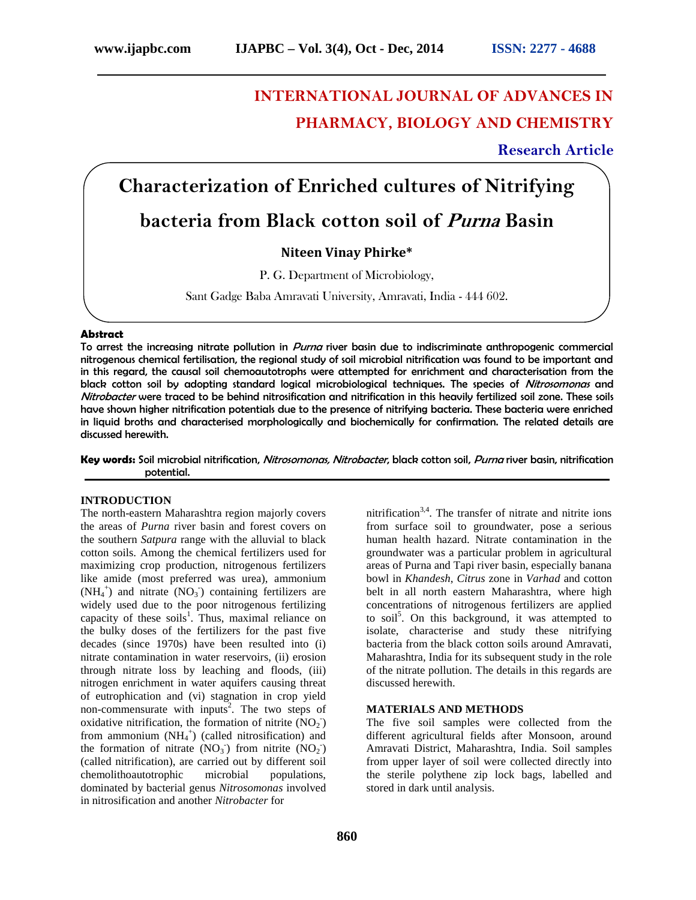# **INTERNATIONAL JOURNAL OF ADVANCES IN PHARMACY, BIOLOGY AND CHEMISTRY**

### **Research Article**

**Characterization of Enriched cultures of Nitrifying**

## **bacteria from Black cotton soil of** *Purna***Basin**

#### **Niteen Vinay Phirke\***

P. G. Department of Microbiology,

Sant Gadge Baba Amravati University, Amravati, India - 444 602.

#### **Abstract**

To arrest the increasing nitrate pollution in *Purna* river basin due to indiscriminate anthropogenic commercial nitrogenous chemical fertilisation, the regional study of soil microbial nitrification was found to be important and in this regard, the causal soil chemoautotrophs were attempted for enrichment and characterisation from the black cotton soil by adopting standard logical microbiological techniques. The species of *Nitrosomonas* and *Nitrobacter* were traced to be behind nitrosification and nitrification in this heavily fertilized soil zone. These soils have shown higher nitrification potentials due to the presence of nitrifying bacteria. These bacteria were enriched in liquid broths and characterised morphologically and biochemically for confirmation. The related details are discussed herewith.

**Key words:** Soil microbial nitrification, *Nitrosomonas, Nitrobacter*, black cotton soil, *Purna* river basin, nitrification potential.

#### **INTRODUCTION**

The north-eastern Maharashtra region majorly covers the areas of *Purna* river basin and forest covers on the southern *Satpura* range with the alluvial to black cotton soils. Among the chemical fertilizers used for maximizing crop production, nitrogenous fertilizers like amide (most preferred was urea), ammonium  $(NH_4^+)$  and nitrate  $(NO_3^-)$  containing fertilizers are widely used due to the poor nitrogenous fertilizing capacity of these soils<sup>1</sup>. Thus, maximal reliance on the bulky doses of the fertilizers for the past five decades (since 1970s) have been resulted into (i) nitrate contamination in water reservoirs, (ii) erosion through nitrate loss by leaching and floods, (iii) nitrogen enrichment in water aquifers causing threat of eutrophication and (vi) stagnation in crop yield non-commensurate with inputs<sup>2</sup>. The two steps of oxidative nitrification, the formation of nitrite  $(NO<sub>2</sub>)$ from ammonium  $(NH_4^+)$  (called nitrosification) and the formation of nitrate  $(NO<sub>3</sub>)$  from nitrite  $(NO<sub>2</sub>)$ (called nitrification), are carried out by different soil chemolithoautotrophic microbial populations, dominated by bacterial genus *Nitrosomonas* involved in nitrosification and another *Nitrobacter* for

nitrification<sup>3,4</sup>. The transfer of nitrate and nitrite ions from surface soil to groundwater, pose a serious human health hazard. Nitrate contamination in the groundwater was a particular problem in agricultural areas of Purna and Tapi river basin, especially banana bowl in *Khandesh*, *Citrus* zone in *Varhad* and cotton belt in all north eastern Maharashtra, where high concentrations of nitrogenous fertilizers are applied to soil<sup>5</sup>. On this background, it was attempted to isolate, characterise and study these nitrifying bacteria from the black cotton soils around Amravati, Maharashtra, India for its subsequent study in the role of the nitrate pollution. The details in this regards are discussed herewith.

#### **MATERIALS AND METHODS**

The five soil samples were collected from the different agricultural fields after Monsoon, around Amravati District, Maharashtra, India. Soil samples from upper layer of soil were collected directly into the sterile polythene zip lock bags, labelled and stored in dark until analysis.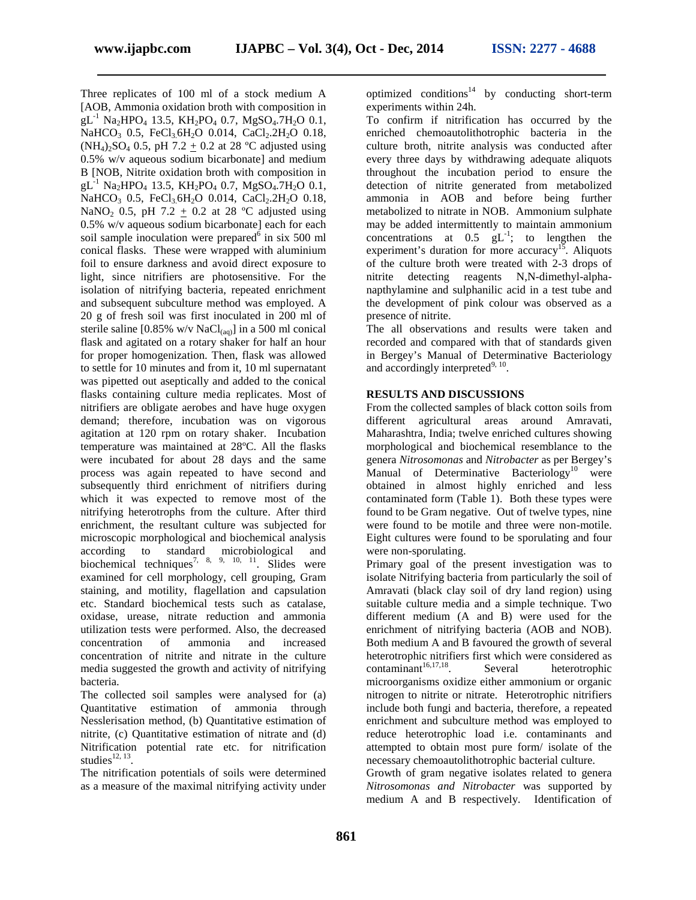Three replicates of 100 ml of a stock medium A [AOB, Ammonia oxidation broth with composition in  $gL^{-1}$  Na<sub>2</sub>HPO<sub>4</sub> 13.5, KH<sub>2</sub>PO<sub>4</sub> 0.7, MgSO<sub>4</sub>.7H<sub>2</sub>O 0.1, NaHCO<sub>3</sub> 0.5, FeCl<sub>3.</sub>6H<sub>2</sub>O 0.014, CaCl<sub>2</sub>.2H<sub>2</sub>O 0.18,  $(NH_4)_{2}SO_4$  0.5, pH 7.2 + 0.2 at 28 °C adjusted using 0.5% w/v aqueous sodium bicarbonate] and medium B [NOB, Nitrite oxidation broth with composition in  $gL^{-1}$  Na<sub>2</sub>HPO<sub>4</sub> 13.5, KH<sub>2</sub>PO<sub>4</sub> 0.7, MgSO<sub>4</sub>.7H<sub>2</sub>O 0.1, NaHCO<sub>3</sub> 0.5, FeCl<sub>3</sub> 6H<sub>2</sub>O 0.014, CaCl<sub>2</sub>.2H<sub>2</sub>O 0.18, NaNO<sub>2</sub> 0.5, pH 7.2 + 0.2 at 28 °C adjusted using 0.5% w/v aqueous sodium bicarbonate] each for each soil sample inoculation were prepared  $\delta$  in six 500 ml conical flasks. These were wrapped with aluminium foil to ensure darkness and avoid direct exposure to light, since nitrifiers are photosensitive. For the isolation of nitrifying bacteria, repeated enrichment and subsequent subculture method was employed. A 20 g of fresh soil was first inoculated in 200 ml of sterile saline  $[0.85\% \text{ w/v NaCl}_{(aa)}]$  in a 500 ml conical flask and agitated on a rotary shaker for half an hour for proper homogenization. Then, flask was allowed to settle for 10 minutes and from it, 10 ml supernatant was pipetted out aseptically and added to the conical flasks containing culture media replicates. Most of nitrifiers are obligate aerobes and have huge oxygen demand; therefore, incubation was on vigorous agitation at 120 rpm on rotary shaker. Incubation temperature was maintained at 28ºC. All the flasks were incubated for about 28 days and the same process was again repeated to have second and subsequently third enrichment of nitrifiers during which it was expected to remove most of the nitrifying heterotrophs from the culture. After third enrichment, the resultant culture was subjected for microscopic morphological and biochemical analysis according to standard microbiological and biochemical techniques<sup>7, 8, 9, 10, 11</sup>. Slides were examined for cell morphology, cell grouping, Gram staining, and motility, flagellation and capsulation etc. Standard biochemical tests such as catalase, oxidase, urease, nitrate reduction and ammonia utilization tests were performed. Also, the decreased concentration of ammonia and increased concentration of nitrite and nitrate in the culture media suggested the growth and activity of nitrifying bacteria.

The collected soil samples were analysed for (a) Quantitative estimation of ammonia through Nesslerisation method, (b) Quantitative estimation of nitrite, (c) Quantitative estimation of nitrate and (d) Nitrification potential rate etc. for nitrification studies $^{12, 13}$ .

The nitrification potentials of soils were determined as a measure of the maximal nitrifying activity under optimized conditions<sup>14</sup> by conducting short-term experiments within 24h.

To confirm if nitrification has occurred by the enriched chemoautolithotrophic bacteria in the culture broth, nitrite analysis was conducted after every three days by withdrawing adequate aliquots throughout the incubation period to ensure the detection of nitrite generated from metabolized ammonia in AOB and before being further metabolized to nitrate in NOB. Ammonium sulphate may be added intermittently to maintain ammonium concentrations at  $0.5 \text{ gL}^{-1}$ ; to lengthen the experiment's duration for more accuracy<sup>15</sup>. Aliquots of the culture broth were treated with 2-3 drops of nitrite detecting reagents N,N-dimethyl-alpha napthylamine and sulphanilic acid in a test tube and the development of pink colour was observed as a presence of nitrite.

The all observations and results were taken and recorded and compared with that of standards given in Bergey's Manual of Determinative Bacteriology and accordingly interpreted $9, 10$ . .

#### **RESULTS AND DISCUSSIONS**

From the collected samples of black cotton soils from different agricultural areas around Amravati, Maharashtra, India; twelve enriched cultures showing morphological and biochemical resemblance to the genera *Nitrosomonas* and *Nitrobacter* as per Bergey's Manual of Determinative Bacteriology<sup>10</sup> were obtained in almost highly enriched and less contaminated form (Table 1). Both these types were found to be Gram negative. Out of twelve types, nine were found to be motile and three were non-motile. Eight cultures were found to be sporulating and four were non-sporulating.

Primary goal of the present investigation was to isolate Nitrifying bacteria from particularly the soil of Amravati (black clay soil of dry land region) using suitable culture media and a simple technique. Two different medium (A and B) were used for the enrichment of nitrifying bacteria (AOB and NOB). Both medium A and B favoured the growth of several heterotrophic nitrifiers first which were considered as  $contaminant<sup>16,17,18</sup>$ . Several heterotrophic microorganisms oxidize either ammonium or organic nitrogen to nitrite or nitrate. Heterotrophic nitrifiers include both fungi and bacteria, therefore, a repeated enrichment and subculture method was employed to reduce heterotrophic load i.e. contaminants and attempted to obtain most pure form/ isolate of the necessary chemoautolithotrophic bacterial culture.

Growth of gram negative isolates related to genera *Nitrosomonas and Nitrobacter* was supported by medium A and B respectively. Identification of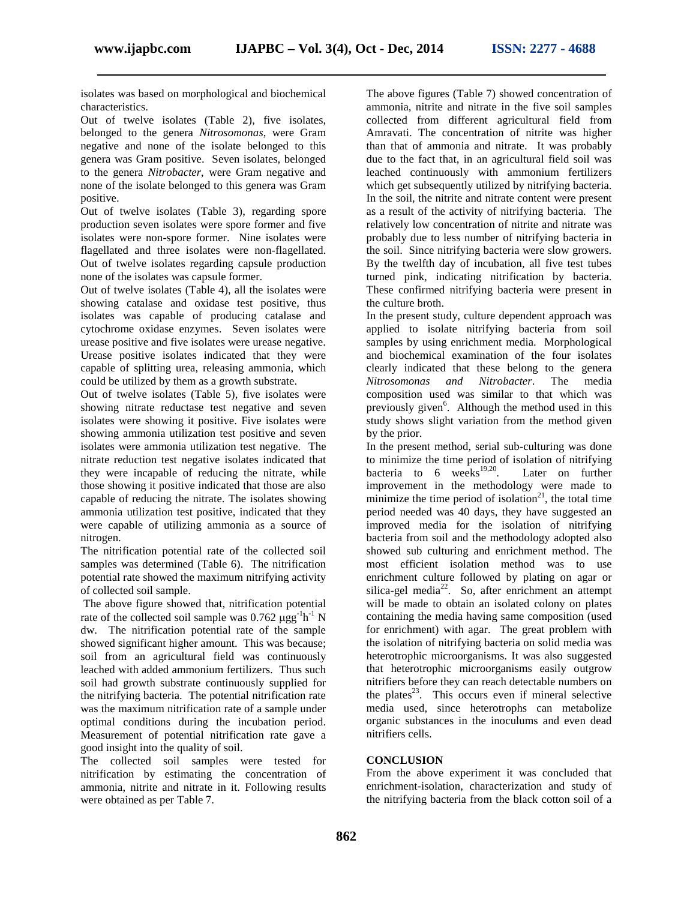isolates was based on morphological and biochemical characteristics.

Out of twelve isolates (Table 2), five isolates, belonged to the genera *Nitrosomonas*, were Gram negative and none of the isolate belonged to this genera was Gram positive. Seven isolates, belonged to the genera *Nitrobacter*, were Gram negative and none of the isolate belonged to this genera was Gram positive.

Out of twelve isolates (Table 3), regarding spore production seven isolates were spore former and five isolates were non-spore former. Nine isolates were flagellated and three isolates were non-flagellated. Out of twelve isolates regarding capsule production none of the isolates was capsule former.

Out of twelve isolates (Table 4), all the isolates were showing catalase and oxidase test positive, thus isolates was capable of producing catalase and cytochrome oxidase enzymes. Seven isolates were urease positive and five isolates were urease negative. Urease positive isolates indicated that they were capable of splitting urea, releasing ammonia, which could be utilized by them as a growth substrate.

Out of twelve isolates (Table 5), five isolates were showing nitrate reductase test negative and seven isolates were showing it positive. Five isolates were showing ammonia utilization test positive and seven isolates were ammonia utilization test negative. The nitrate reduction test negative isolates indicated that they were incapable of reducing the nitrate, while those showing it positive indicated that those are also capable of reducing the nitrate. The isolates showing ammonia utilization test positive, indicated that they were capable of utilizing ammonia as a source of nitrogen.

The nitrification potential rate of the collected soil samples was determined (Table 6). The nitrification potential rate showed the maximum nitrifying activity of collected soil sample.

The above figure showed that, nitrification potential rate of the collected soil sample was  $0.762 \mu\text{g}g^{-1}h^{-1}$  N dw. The nitrification potential rate of the sample showed significant higher amount. This was because; soil from an agricultural field was continuously leached with added ammonium fertilizers. Thus such soil had growth substrate continuously supplied for the nitrifying bacteria. The potential nitrification rate was the maximum nitrification rate of a sample under optimal conditions during the incubation period. Measurement of potential nitrification rate gave a good insight into the quality of soil.

The collected soil samples were tested for nitrification by estimating the concentration of ammonia, nitrite and nitrate in it. Following results were obtained as per Table 7.

The above figures (Table 7) showed concentration of ammonia, nitrite and nitrate in the five soil samples collected from different agricultural field from Amravati. The concentration of nitrite was higher than that of ammonia and nitrate. It was probably due to the fact that, in an agricultural field soil was leached continuously with ammonium fertilizers which get subsequently utilized by nitrifying bacteria. In the soil, the nitrite and nitrate content were present as a result of the activity of nitrifying bacteria. The relatively low concentration of nitrite and nitrate was probably due to less number of nitrifying bacteria in the soil. Since nitrifying bacteria were slow growers. By the twelfth day of incubation, all five test tubes turned pink, indicating nitrification by bacteria. These confirmed nitrifying bacteria were present in the culture broth.

In the present study, culture dependent approach was applied to isolate nitrifying bacteria from soil samples by using enrichment media. Morphological and biochemical examination of the four isolates clearly indicated that these belong to the genera *Nitrosomonas and Nitrobacter*. The media composition used was similar to that which was previously given<sup>6</sup>. Although the method used in this study shows slight variation from the method given by the prior.

<sup>-1</sup> N containing the media having same composition (used In the present method, serial sub-culturing was done to minimize the time period of isolation of nitrifying bacteria to 6 weeks<sup>19,20</sup>. Later on further improvement in the methodology were made to minimize the time period of isolation<sup>21</sup>, the total time period needed was 40 days, they have suggested an improved media for the isolation of nitrifying bacteria from soil and the methodology adopted also showed sub culturing and enrichment method. The most efficient isolation method was to use enrichment culture followed by plating on agar or silica-gel media $^{22}$ . So, after enrichment an attempt will be made to obtain an isolated colony on plates for enrichment) with agar. The great problem with the isolation of nitrifying bacteria on solid media was heterotrophic microorganisms. It was also suggested that heterotrophic microorganisms easily outgrow nitrifiers before they can reach detectable numbers on the plates $^{23}$ . This occurs even if mineral selective media used, since heterotrophs can metabolize organic substances in the inoculums and even dead nitrifiers cells.

#### **CONCLUSION**

From the above experiment it was concluded that enrichment-isolation, characterization and study of the nitrifying bacteria from the black cotton soil of a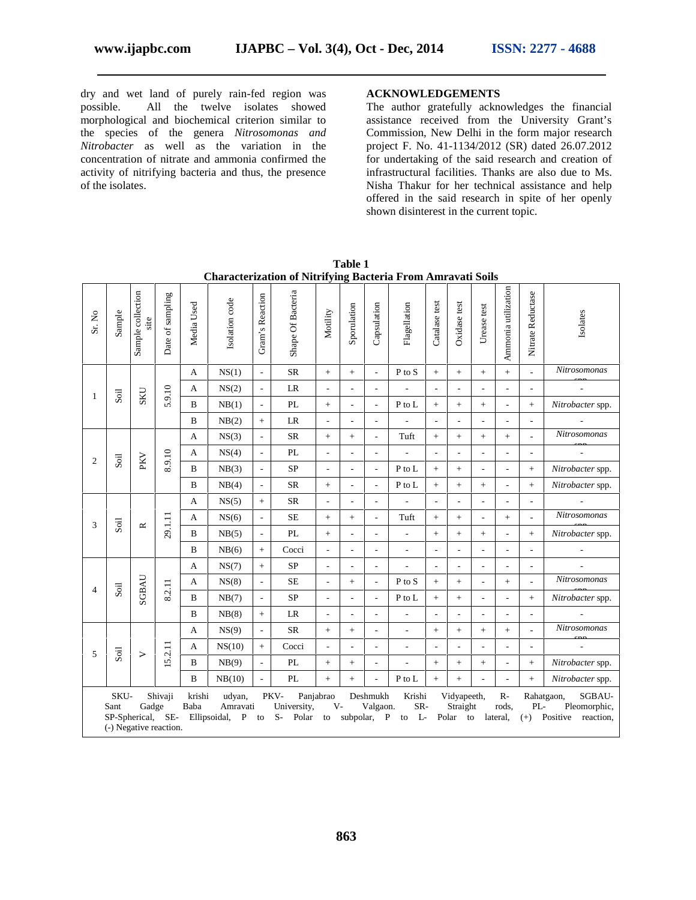dry and wet land of purely rain-fed region was possible. All the twelve isolates showed morphological and biochemical criterion similar to the species of the genera *Nitrosomonas and Nitrobacter* as well as the variation in the concentration of nitrate and ammonia confirmed the activity of nitrifying bacteria and thus, the presence of the isolates.

#### **ACKNOWLEDGEMENTS**

The author gratefully acknowledges the financial assistance received from the University Grant's Commission, New Delhi in the form major research project F. No. 41-1134/2012 (SR) dated 26.07.2012 for undertaking of the said research and creation of infrastructural facilities. Thanks are also due to Ms. Nisha Thakur for her technical assistance and help offered in the said research in spite of her openly shown disinterest in the current topic.

| Sr. No         | Sample                       | Sample collection<br>site  | Date of sampling                  | Media Used     | Isolation code                       | Gram's Reaction          | Shape Of Bacteria                    | Motility                 | Sporulation              | Capsulation                         | Flagellation             | Catalase test            | Oxidase test                        | Urease test              | Ammonia utilization       | Nitrate Reductase        | Isolates                                                      |                  |              |                          |                          |                          |                  |  |                          |                          |   |                          |    |                          |  |
|----------------|------------------------------|----------------------------|-----------------------------------|----------------|--------------------------------------|--------------------------|--------------------------------------|--------------------------|--------------------------|-------------------------------------|--------------------------|--------------------------|-------------------------------------|--------------------------|---------------------------|--------------------------|---------------------------------------------------------------|------------------|--------------|--------------------------|--------------------------|--------------------------|------------------|--|--------------------------|--------------------------|---|--------------------------|----|--------------------------|--|
|                |                              |                            |                                   | A              | NS(1)                                | $\blacksquare$           | <b>SR</b>                            | $+$                      | $+$                      | $\overline{\phantom{a}}$            | P to S                   | $+$                      | $+$                                 | $+$                      | $\pm$                     | $\mathcal{L}$            | Nitrosomonas                                                  |                  |              |                          |                          |                          |                  |  |                          |                          |   |                          |    |                          |  |
| 1              | Soil                         | SKU                        | 5.9.10                            | A              | NS(2)                                | $\overline{a}$           | LR                                   | $\overline{\phantom{a}}$ |                          |                                     |                          | $\overline{\phantom{a}}$ |                                     |                          |                           | ÷,                       |                                                               |                  |              |                          |                          |                          |                  |  |                          |                          |   |                          |    |                          |  |
|                |                              |                            |                                   | B              | NB(1)                                | $\overline{\phantom{a}}$ | PL                                   | $+$                      |                          |                                     | P to L                   | $\boldsymbol{+}$         | $^{+}$                              | $+$                      | ÷,                        | $\boldsymbol{+}$         | Nitrobacter spp.                                              |                  |              |                          |                          |                          |                  |  |                          |                          |   |                          |    |                          |  |
|                |                              |                            |                                   | B              | NB(2)                                | $+$                      | LR                                   | $\overline{\phantom{a}}$ | $\overline{\phantom{a}}$ | $\overline{\phantom{a}}$            | $\overline{\phantom{a}}$ | $\overline{\phantom{a}}$ | $\overline{\phantom{a}}$            | $\overline{a}$           | ÷,                        | $\overline{\phantom{a}}$ | ÷,                                                            |                  |              |                          |                          |                          |                  |  |                          |                          |   |                          |    |                          |  |
|                |                              |                            |                                   | A              | NS(3)                                | $\overline{a}$           | <b>SR</b>                            | $+$                      | $+$                      |                                     | Tuft                     | $\boldsymbol{+}$         | $+$                                 | $\pm$                    | $\pm$                     | $\overline{\phantom{a}}$ | Nitrosomonas                                                  |                  |              |                          |                          |                          |                  |  |                          |                          |   |                          |    |                          |  |
| $\overline{2}$ | Soil                         |                            |                                   |                |                                      |                          |                                      |                          |                          |                                     |                          |                          |                                     | PKV                      |                           |                          | 8.9.10                                                        | A                | NS(4)        | $\overline{\phantom{a}}$ | PL                       | $\overline{\phantom{a}}$ |                  |  | $\overline{\phantom{a}}$ | $\overline{\phantom{a}}$ | ٠ | $\overline{\phantom{a}}$ | ÷, | $\overline{\phantom{a}}$ |  |
|                |                              |                            |                                   | B              | NB(3)                                | $\overline{\phantom{a}}$ | <b>SP</b>                            | $\overline{\phantom{a}}$ |                          | $\overline{\phantom{a}}$            | P to L                   | $+$                      | $+$                                 | L,                       |                           | $+$                      | Nitrobacter spp.                                              |                  |              |                          |                          |                          |                  |  |                          |                          |   |                          |    |                          |  |
|                |                              |                            |                                   | B              | NB(4)                                | $\overline{a}$           | <b>SR</b>                            | $+$                      |                          |                                     | P to L                   | $+$                      | $+$                                 | $+$                      | $\overline{\phantom{a}}$  | $+$                      | Nitrobacter spp.                                              |                  |              |                          |                          |                          |                  |  |                          |                          |   |                          |    |                          |  |
|                |                              |                            |                                   |                |                                      |                          |                                      | A                        | NS(5)                    | $\ddot{}$                           | <b>SR</b>                | $\overline{\phantom{a}}$ |                                     |                          | L.                        | $\overline{\phantom{a}}$ |                                                               |                  |              | $\blacksquare$           | $\sim$                   |                          |                  |  |                          |                          |   |                          |    |                          |  |
| 3              | Soil                         |                            |                                   | $\simeq$       |                                      | A                        | NS(6)                                | $\overline{\phantom{a}}$ | $SE$                     | $+$                                 | $+$                      | $\overline{\phantom{a}}$ | Tuft                                | $+$                      | $+$                       | $\overline{\phantom{a}}$ | $+$                                                           | $\overline{a}$   | Nitrosomonas |                          |                          |                          |                  |  |                          |                          |   |                          |    |                          |  |
|                |                              |                            |                                   |                | 29.1.11                              |                          |                                      |                          |                          | B                                   | NB(5)                    | $\overline{\phantom{a}}$ | PL                                  | $+$                      |                           |                          | $\overline{a}$                                                | $\boldsymbol{+}$ | $+$          | $+$                      | $\overline{\phantom{0}}$ | $+$                      | Nitrobacter spp. |  |                          |                          |   |                          |    |                          |  |
|                |                              |                            |                                   | B              | NB(6)                                | $+$                      | Cocci                                |                          |                          |                                     |                          | $\overline{\phantom{0}}$ |                                     |                          |                           | $\blacksquare$           | $\overline{\phantom{a}}$                                      |                  |              |                          |                          |                          |                  |  |                          |                          |   |                          |    |                          |  |
|                |                              |                            |                                   | A              | NS(7)                                | $+$                      | $\mbox{SP}$                          | $\overline{\phantom{a}}$ |                          |                                     | $\overline{\phantom{a}}$ | $\overline{\phantom{a}}$ | $\overline{a}$                      | $\overline{a}$           | $\overline{a}$            | $\overline{\phantom{a}}$ | $\overline{\phantom{a}}$                                      |                  |              |                          |                          |                          |                  |  |                          |                          |   |                          |    |                          |  |
| $\overline{4}$ | $\mathop{\rm Soil}\nolimits$ | SGBAU                      |                                   |                | A                                    | NS(8)                    | $\overline{\phantom{a}}$             | <b>SE</b>                | $\overline{\phantom{a}}$ | $+$                                 | $\overline{\phantom{a}}$ | P to S                   | $+$                                 | $+$                      | $\overline{a}$            | $+$                      | $\overline{a}$                                                | Nitrosomonas     |              |                          |                          |                          |                  |  |                          |                          |   |                          |    |                          |  |
|                |                              |                            |                                   |                |                                      |                          |                                      |                          | 8.2.11                   | B                                   | NB(7)                    | $\overline{\phantom{a}}$ | <b>SP</b>                           |                          |                           |                          | P to L                                                        | $+$              | $+$          | ÷                        |                          | $\boldsymbol{+}$         | Nitrobacter spp. |  |                          |                          |   |                          |    |                          |  |
|                |                              |                            |                                   | B              | NB(8)                                | $\! + \!$                | LR                                   | $\overline{\phantom{a}}$ |                          |                                     | $\overline{\phantom{a}}$ | $\overline{\phantom{a}}$ | ٠                                   | $\overline{\phantom{a}}$ | $\overline{\phantom{a}}$  | $\overline{\phantom{a}}$ |                                                               |                  |              |                          |                          |                          |                  |  |                          |                          |   |                          |    |                          |  |
|                |                              |                            |                                   | A              | NS(9)                                | $\overline{\phantom{a}}$ | <b>SR</b>                            | $+$                      | $+$                      | $\overline{\phantom{a}}$            | $\overline{\phantom{a}}$ | $\boldsymbol{+}$         | $+$                                 | $+$                      | $+$                       | $\mathcal{L}$            | Nitrosomonas                                                  |                  |              |                          |                          |                          |                  |  |                          |                          |   |                          |    |                          |  |
| 5              | Soil                         |                            | 5.2.11                            | A              | NS(10)                               | $+$                      | Cocci                                |                          |                          |                                     | $\overline{\phantom{a}}$ | $\overline{a}$           | ٠                                   | ÷                        | ÷,                        | $\overline{\phantom{a}}$ |                                                               |                  |              |                          |                          |                          |                  |  |                          |                          |   |                          |    |                          |  |
|                |                              | >                          |                                   | B              | NB(9)                                | $\overline{\phantom{a}}$ | PL                                   | $+$                      | $^{+}$                   |                                     | $\overline{\phantom{a}}$ | $+$                      | $^{+}$                              | $\, +$                   | $\overline{a}$            | $\ddot{}$                | Nitrobacter spp.                                              |                  |              |                          |                          |                          |                  |  |                          |                          |   |                          |    |                          |  |
|                |                              |                            |                                   | $\, {\bf B}$   | NB(10)                               | $\overline{\phantom{a}}$ | PL                                   | $+$                      | $+$                      |                                     | P to L                   | $^{+}$                   | $+$                                 | L.                       | $\overline{a}$            | $+$                      | Nitrobacter spp.                                              |                  |              |                          |                          |                          |                  |  |                          |                          |   |                          |    |                          |  |
|                | SKU-<br>Sant                 | Gadge<br>SP-Spherical, SE- | Shivaji<br>(-) Negative reaction. | krishi<br>Baba | udyan,<br>Amravati<br>Ellipsoidal, P | to                       | PKV-<br>University,<br>$S-$<br>Polar | Panjabrao<br>$V -$<br>to |                          | Deshmukh<br>Valgaon.<br>subpolar, P | Krishi<br>SR-<br>L<br>to |                          | Vidyapeeth,<br>Straight<br>Polar to |                          | $R-$<br>rods,<br>lateral, | $PL-$<br>$(+)$           | SGBAU-<br>Rahatgaon,<br>Pleomorphic,<br>Positive<br>reaction, |                  |              |                          |                          |                          |                  |  |                          |                          |   |                          |    |                          |  |

**Table 1 Characterization of Nitrifying Bacteria From Amravati Soils**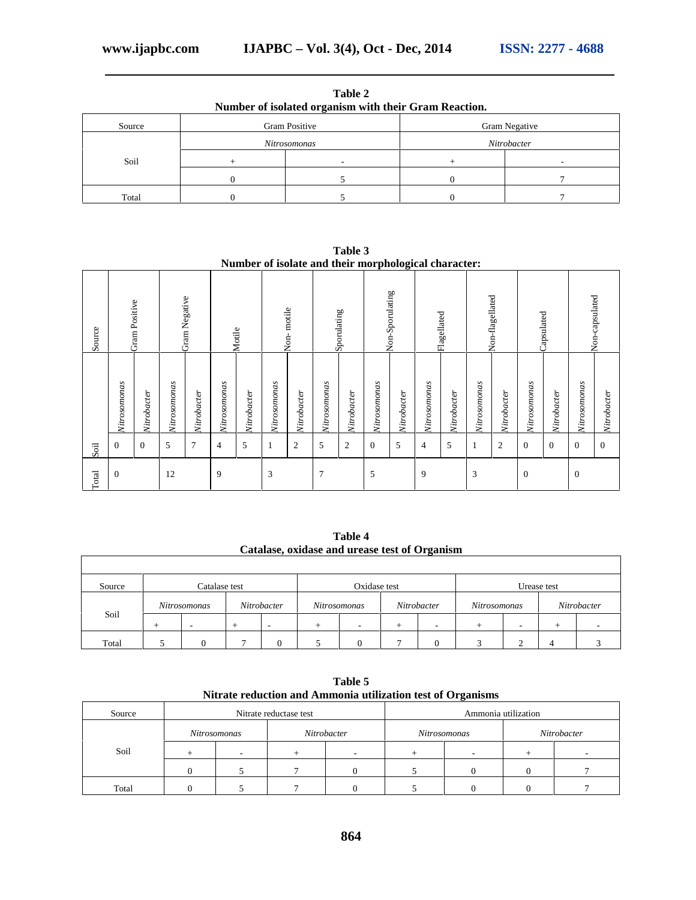|        | Number of isolated organism with their Gram Reaction. |                      |
|--------|-------------------------------------------------------|----------------------|
| Source | <b>Gram Positive</b>                                  | <b>Gram Negative</b> |
|        | Nitrosomonas                                          | Nitrobacter          |
| Soil   |                                                       |                      |
|        |                                                       |                      |
| Total  |                                                       |                      |

**Table 2**

|        |               |             |              |                |                |             |              |                | Number of isolate and their morphological character: |                |              |                 |              |             |              |                 |                |             |                  |                |
|--------|---------------|-------------|--------------|----------------|----------------|-------------|--------------|----------------|------------------------------------------------------|----------------|--------------|-----------------|--------------|-------------|--------------|-----------------|----------------|-------------|------------------|----------------|
| Source | Gram Positive |             |              | Gram Negative  |                | Motile      |              | Non-motile     |                                                      | Sponulating    |              | Non-Sporulating |              | Flagellated |              | Non-flagellated |                | Capsulated  |                  | Non-capsulated |
|        | Nitrosomonas  | Nitrobacter | Nitrosomonas | Nitrobacter    | Nitrosomonas   | Nitrobacter | Nitrosononas | Nitrobacter    | Nitrosomonas                                         | Nitrobacter    | Nitrosononas | Nitrobacter     | Nitrosomonas | Nitrobacter | Nitrosononas | Nitrobacter     | Nitrosononas   | Nitrobacter | Nitrosomonas     | Nitrobacter    |
| Soil   | $\Omega$      | $\Omega$    | 5            | $\overline{7}$ | $\overline{4}$ | 5           |              | $\overline{2}$ | 5                                                    | $\overline{2}$ | $\Omega$     | 5               | 4            | 5           |              | $\overline{c}$  | $\Omega$       | $\Omega$    | $\Omega$         | $\Omega$       |
| Total  | $\Omega$      |             | 12           |                | 9              |             | 3            |                | 7                                                    |                | 5            |                 | 9            |             | 3            |                 | $\overline{0}$ |             | $\boldsymbol{0}$ |                |

**Table 3**

**Table 4 Catalase, oxidase and urease test of Organism**

| Source | Catalase test |                          | Oxidase test |   |                          |              |                          | Urease test |             |
|--------|---------------|--------------------------|--------------|---|--------------------------|--------------|--------------------------|-------------|-------------|
|        | Nitrosomonas  | Nitrobacter              | Nitrosomonas |   | Nitrobacter              | Nitrosomonas |                          |             | Nitrobacter |
| Soil   |               | $\overline{\phantom{a}}$ | ۰            | - | $\overline{\phantom{0}}$ | ∸            | $\overline{\phantom{a}}$ |             |             |
| Total  |               |                          | $\Omega$     |   |                          |              | ◠                        |             |             |

| Table 5                                                     |  |
|-------------------------------------------------------------|--|
| Nitrate reduction and Ammonia utilization test of Organisms |  |

| Source |              | Nitrate reductase test |             |              | Ammonia utilization |             |
|--------|--------------|------------------------|-------------|--------------|---------------------|-------------|
|        | Nitrosomonas |                        | Nitrobacter | Nitrosomonas |                     | Nitrobacter |
| Soil   |              |                        |             |              |                     |             |
|        |              |                        |             |              |                     |             |
| Total  |              |                        |             |              |                     |             |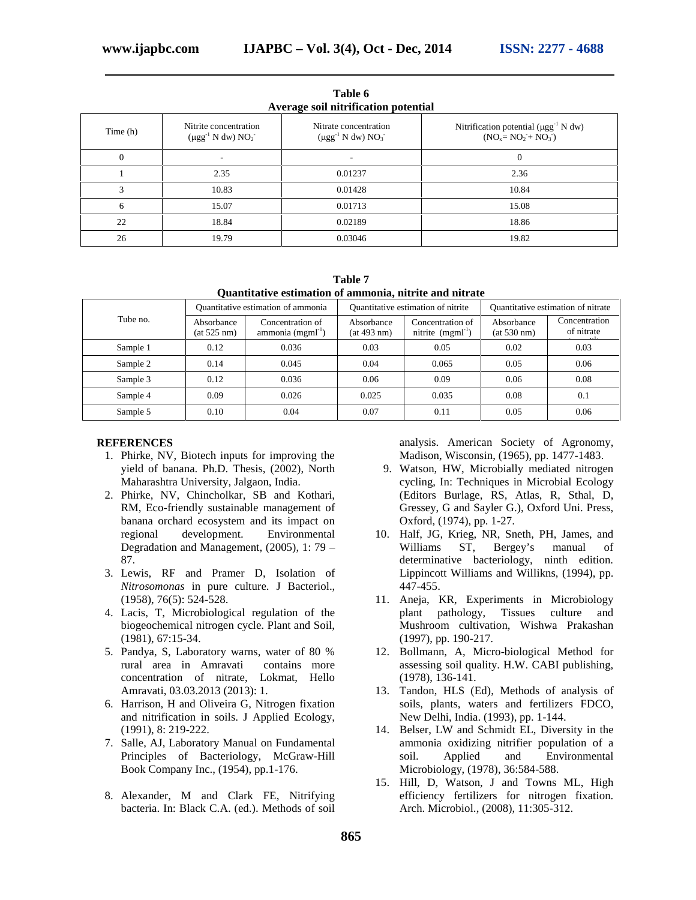|          |                                                      | AVELAGE SON INTERRETURN PORTRAI                    |                                                                                  |
|----------|------------------------------------------------------|----------------------------------------------------|----------------------------------------------------------------------------------|
| Time (h) | Nitrite concentration<br>$(\mu gg^{-1} N dw) NO_2^-$ | Nitrate concentration<br>$(\mu gg^{-1} N dw) NO_3$ | Nitrification potential ( $\mu$ gg <sup>-1</sup> N dw)<br>$(NO_x = NO_2 + NO_3)$ |
|          |                                                      |                                                    |                                                                                  |
|          | 2.35                                                 | 0.01237                                            | 2.36                                                                             |
|          | 10.83                                                | 0.01428                                            | 10.84                                                                            |
|          | 15.07                                                | 0.01713                                            | 15.08                                                                            |
| 22       | 18.84                                                | 0.02189                                            | 18.86                                                                            |
| 26       | 19.79                                                | 0.03046                                            | 19.82                                                                            |

**Table 6 Average soil nitrification potential**

**Table 7 Quantitative estimation of ammonia, nitrite and nitrate**

|          |                           | Quantitative estimation of ammonia    |                           | Quantitative estimation of nitrite    | Quantitative estimation of nitrate |                             |  |
|----------|---------------------------|---------------------------------------|---------------------------|---------------------------------------|------------------------------------|-----------------------------|--|
| Tube no. | Absorbance<br>(at 525 nm) | Concentration of<br>ammonia $(mgm-1)$ | Absorbance<br>(at 493 nm) | Concentration of<br>nitrite $(mgm-1)$ | Absorbance<br>(at 530 nm)          | Concentration<br>of nitrate |  |
| Sample 1 | 0.12                      | 0.036                                 | 0.03                      | 0.05                                  | 0.02                               | 0.03                        |  |
| Sample 2 | 0.14                      | 0.045                                 | 0.04                      | 0.065                                 | 0.05                               | 0.06                        |  |
| Sample 3 | 0.12                      | 0.036                                 | 0.06                      | 0.09                                  | 0.06                               | 0.08                        |  |
| Sample 4 | 0.09                      | 0.026                                 | 0.025                     | 0.035                                 | 0.08                               | 0.1                         |  |
| Sample 5 | 0.10                      | 0.04                                  | 0.07                      | 0.11                                  | 0.05                               | 0.06                        |  |

#### **REFERENCES**

- 1. Phirke, NV, Biotech inputs for improving the yield of banana. Ph.D. Thesis, (2002), North Maharashtra University, Jalgaon, India.
- 2. Phirke, NV, Chincholkar, SB and Kothari, RM, Eco-friendly sustainable management of banana orchard ecosystem and its impact on regional development. Environmental Degradation and Management, (2005), 1: 79 – 87.
- 3. Lewis, RF and Pramer D, Isolation of *Nitrosomonas* in pure culture. J Bacteriol., (1958), 76(5): 524-528.
- 4. Lacis, T, Microbiological regulation of the biogeochemical nitrogen cycle. Plant and Soil, (1981), 67:15-34.
- 5. Pandya, S, Laboratory warns, water of 80 % rural area in Amravati contains more concentration of nitrate, Lokmat, Hello Amravati, 03.03.2013 (2013): 1.
- 6. Harrison, H and Oliveira G, Nitrogen fixation and nitrification in soils. J Applied Ecology, (1991), 8: 219-222.
- 7. Salle, AJ, Laboratory Manual on Fundamental Principles of Bacteriology, McGraw-Hill Book Company Inc., (1954), pp.1-176.
- 8. Alexander, M and Clark FE, Nitrifying bacteria. In: Black C.A. (ed.). Methods of soil

analysis. American Society of Agronomy, Madison, Wisconsin, (1965), pp. 1477-1483.

- 9. Watson, HW, Microbially mediated nitrogen cycling, In: Techniques in Microbial Ecology (Editors Burlage, RS, Atlas, R, Sthal, D, Gressey, G and Sayler G.), Oxford Uni. Press, Oxford, (1974), pp. 1-27.
- 10. Half, JG, Krieg, NR, Sneth, PH, James, and Williams ST, Bergey's manual of determinative bacteriology, ninth edition. Lippincott Williams and Willikns, (1994), pp. 447-455.
- 11. Aneja, KR, Experiments in Microbiology plant pathology, Tissues culture and Mushroom cultivation, Wishwa Prakashan (1997), pp. 190-217.
- 12. Bollmann, A, Micro-biological Method for assessing soil quality. H.W. CABI publishing, (1978), 136-141.
- 13. Tandon, HLS (Ed), Methods of analysis of soils, plants, waters and fertilizers FDCO, New Delhi, India. (1993), pp. 1-144.
- 14. Belser, LW and Schmidt EL, Diversity in the ammonia oxidizing nitrifier population of a soil. Applied and Environmental Microbiology, (1978), 36:584-588.
- 15. Hill, D, Watson, J and Towns ML, High efficiency fertilizers for nitrogen fixation. Arch. Microbiol., (2008), 11:305-312.